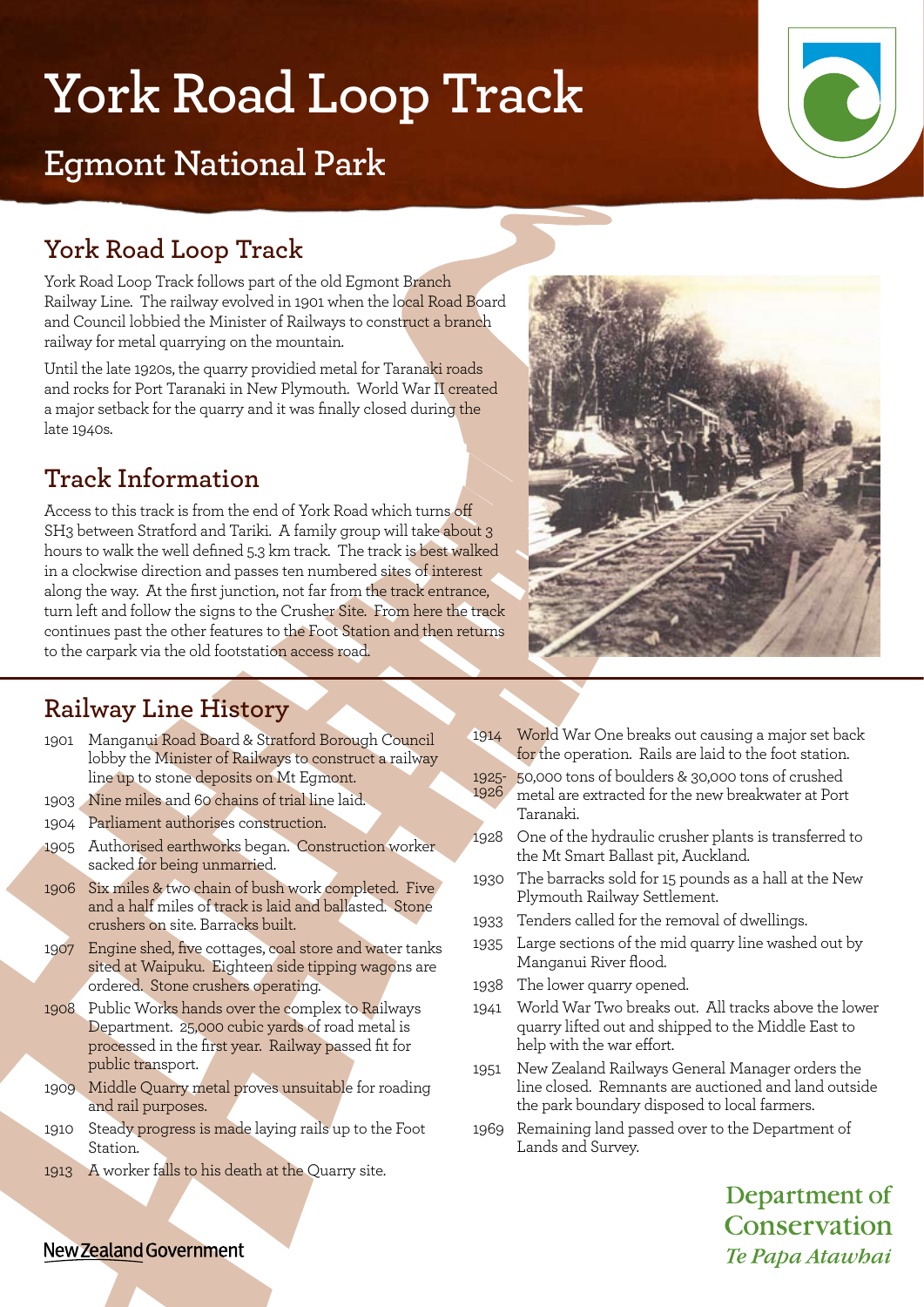# **York Road Loop Track**

## **Egmont National Park**

## **York Road Loop Track**

York Road Loop Track follows part of the old Egmont Branch Railway Line. The railway evolved in 1901 when the local Road Board and Council lobbied the Minister of Railways to construct a branch railway for metal quarrying on the mountain.

Until the late 1920s, the quarry providied metal for Taranaki roads and rocks for Port Taranaki in New Plymouth. World War II created a major setback for the quarry and it was finally closed during the late 1940s.

## **Track Information**

Access to this track is from the end of York Road which turns off SH3 between Stratford and Tariki. A family group will take about 3 hours to walk the well defined 5.3 km track. The track is best walked in a clockwise direction and passes ten numbered sites of interest along the way. At the first junction, not far from the track entrance, turn left and follow the signs to the Crusher Site. From here the track continues past the other features to the Foot Station and then returns to the carpark via the old footstation access road.



### **Railway Line History**

- 1901 Manganui Road Board & Stratford Borough Council lobby the Minister of Railways to construct a railway line up to stone deposits on Mt Egmont.
- 1903 Nine miles and 60 chains of trial line laid.
- 1904 Parliament authorises construction.
- 1905 Authorised earthworks began. Construction worker sacked for being unmarried.
- 1906 Six miles & two chain of bush work completed. Five and a half miles of track is laid and ballasted. Stone crushers on site. Barracks built.
- 1907 Engine shed, five cottages, coal store and water tanks sited at Waipuku. Eighteen side tipping wagons are ordered. Stone crushers operating.
- 1908 Public Works hands over the complex to Railways Department. 25,000 cubic yards of road metal is processed in the first year. Railway passed fit for public transport.
- 1909 Middle Quarry metal proves unsuitable for roading and rail purposes.
- 1910 Steady progress is made laying rails up to the Foot Station.
- 1913 A worker falls to his death at the Quarry site.
- 1914 World War One breaks out causing a major set back for the operation. Rails are laid to the foot station.
- 1925- 50,000 tons of boulders & 30,000 tons of crushed metal are extracted for the new breakwater at Port Taranaki. 1926
- 1928 One of the hydraulic crusher plants is transferred to the Mt Smart Ballast pit, Auckland.
- 1930 The barracks sold for 15 pounds as a hall at the New Plymouth Railway Settlement.
- 1933 Tenders called for the removal of dwellings.
- 1935 Large sections of the mid quarry line washed out by Manganui River flood.
- 1938 The lower quarry opened.
- 1941 World War Two breaks out. All tracks above the lower quarry lifted out and shipped to the Middle East to help with the war effort.
- 1951 New Zealand Railways General Manager orders the line closed. Remnants are auctioned and land outside the park boundary disposed to local farmers.
- 1969 Remaining land passed over to the Department of Lands and Survey.

Department of Conservation Te Papa Atawhai

#### New Zealand Government